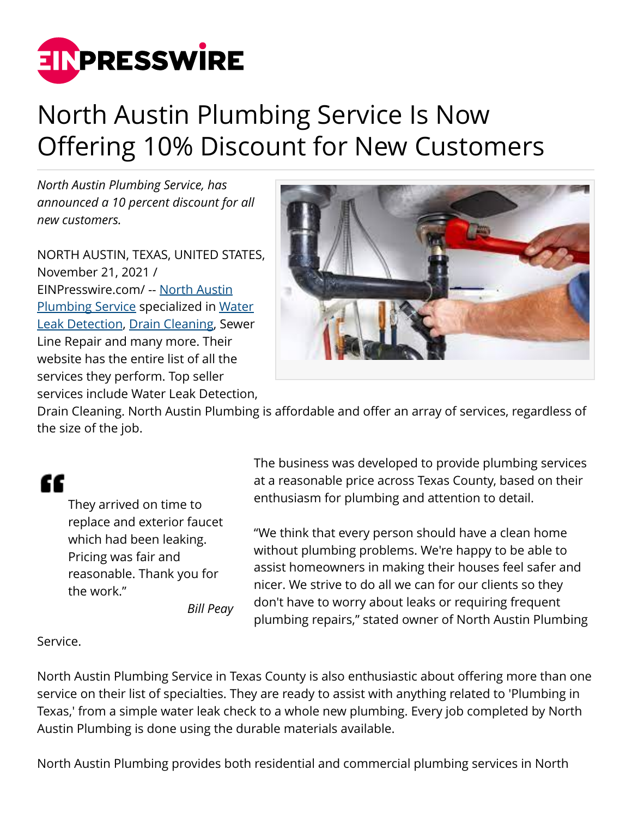

## North Austin Plumbing Service Is Now Offering 10% Discount for New Customers

*North Austin Plumbing Service, has announced a 10 percent discount for all new customers.*

NORTH AUSTIN, TEXAS, UNITED STATES, November 21, 2021 / [EINPresswire.com](http://www.einpresswire.com)/ -- [North Austin](https://www.atxplumbing.net/) [Plumbing Service](https://www.atxplumbing.net/) specialized in [Water](https://www.atxplumbing.net/water-leak-detection.html) [Leak Detection](https://www.atxplumbing.net/water-leak-detection.html), [Drain Cleaning,](https://www.atxplumbing.net/drain-cleaning.html) Sewer Line Repair and many more. Their website has the entire list of all the services they perform. Top seller services include Water Leak Detection,



Drain Cleaning. North Austin Plumbing is affordable and offer an array of services, regardless of the size of the job.

## "

They arrived on time to replace and exterior faucet which had been leaking. Pricing was fair and reasonable. Thank you for the work."

*Bill Peay*

The business was developed to provide plumbing services at a reasonable price across Texas County, based on their enthusiasm for plumbing and attention to detail.

"We think that every person should have a clean home without plumbing problems. We're happy to be able to assist homeowners in making their houses feel safer and nicer. We strive to do all we can for our clients so they don't have to worry about leaks or requiring frequent plumbing repairs," stated owner of North Austin Plumbing

## Service.

North Austin Plumbing Service in Texas County is also enthusiastic about offering more than one service on their list of specialties. They are ready to assist with anything related to 'Plumbing in Texas,' from a simple water leak check to a whole new plumbing. Every job completed by North Austin Plumbing is done using the durable materials available.

North Austin Plumbing provides both residential and commercial plumbing services in North